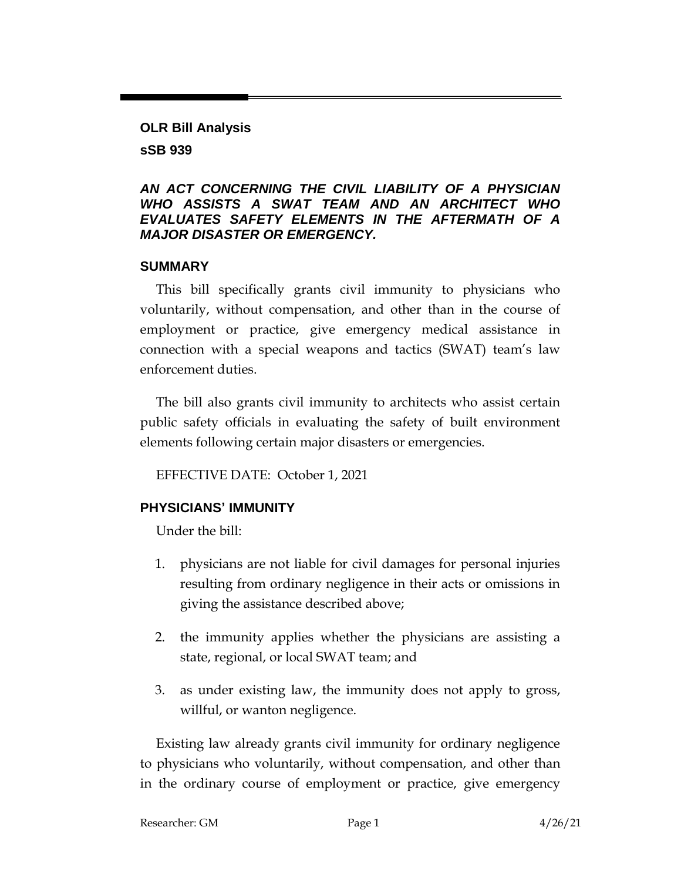### **OLR Bill Analysis sSB 939**

#### *AN ACT CONCERNING THE CIVIL LIABILITY OF A PHYSICIAN WHO ASSISTS A SWAT TEAM AND AN ARCHITECT WHO EVALUATES SAFETY ELEMENTS IN THE AFTERMATH OF A MAJOR DISASTER OR EMERGENCY.*

### **SUMMARY**

This bill specifically grants civil immunity to physicians who voluntarily, without compensation, and other than in the course of employment or practice, give emergency medical assistance in connection with a special weapons and tactics (SWAT) team's law enforcement duties.

The bill also grants civil immunity to architects who assist certain public safety officials in evaluating the safety of built environment elements following certain major disasters or emergencies.

EFFECTIVE DATE: October 1, 2021

# **PHYSICIANS' IMMUNITY**

Under the bill:

- 1. physicians are not liable for civil damages for personal injuries resulting from ordinary negligence in their acts or omissions in giving the assistance described above;
- 2. the immunity applies whether the physicians are assisting a state, regional, or local SWAT team; and
- 3. as under existing law, the immunity does not apply to gross, willful, or wanton negligence.

Existing law already grants civil immunity for ordinary negligence to physicians who voluntarily, without compensation, and other than in the ordinary course of employment or practice, give emergency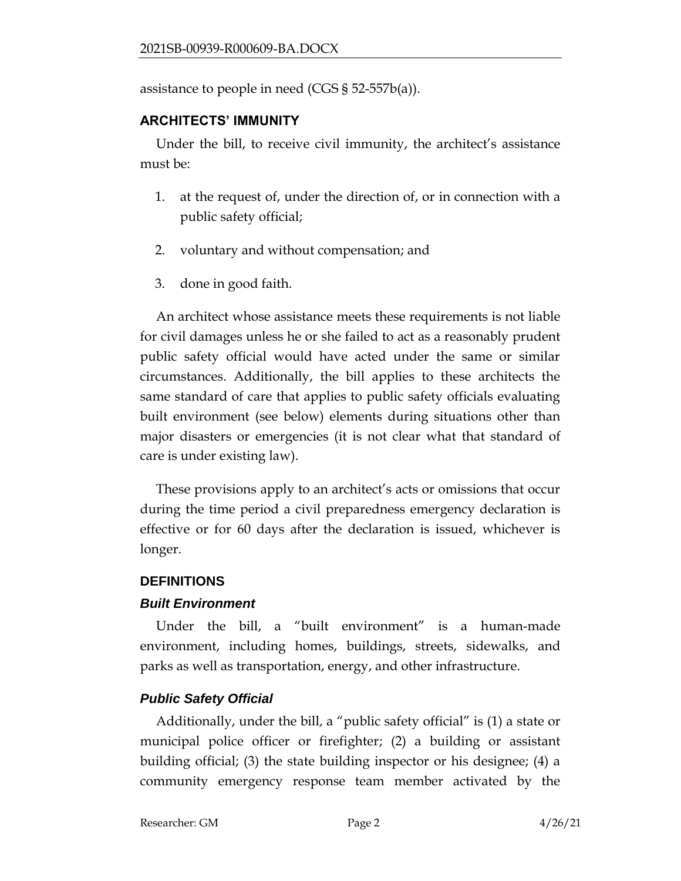assistance to people in need (CGS § 52-557b(a)).

### **ARCHITECTS' IMMUNITY**

Under the bill, to receive civil immunity, the architect's assistance must be:

- 1. at the request of, under the direction of, or in connection with a public safety official;
- 2. voluntary and without compensation; and
- 3. done in good faith.

An architect whose assistance meets these requirements is not liable for civil damages unless he or she failed to act as a reasonably prudent public safety official would have acted under the same or similar circumstances. Additionally, the bill applies to these architects the same standard of care that applies to public safety officials evaluating built environment (see below) elements during situations other than major disasters or emergencies (it is not clear what that standard of care is under existing law).

These provisions apply to an architect's acts or omissions that occur during the time period a civil preparedness emergency declaration is effective or for 60 days after the declaration is issued, whichever is longer.

# **DEFINITIONS**

#### *Built Environment*

Under the bill, a "built environment" is a human-made environment, including homes, buildings, streets, sidewalks, and parks as well as transportation, energy, and other infrastructure.

# *Public Safety Official*

Additionally, under the bill, a "public safety official" is (1) a state or municipal police officer or firefighter; (2) a building or assistant building official; (3) the state building inspector or his designee; (4) a community emergency response team member activated by the